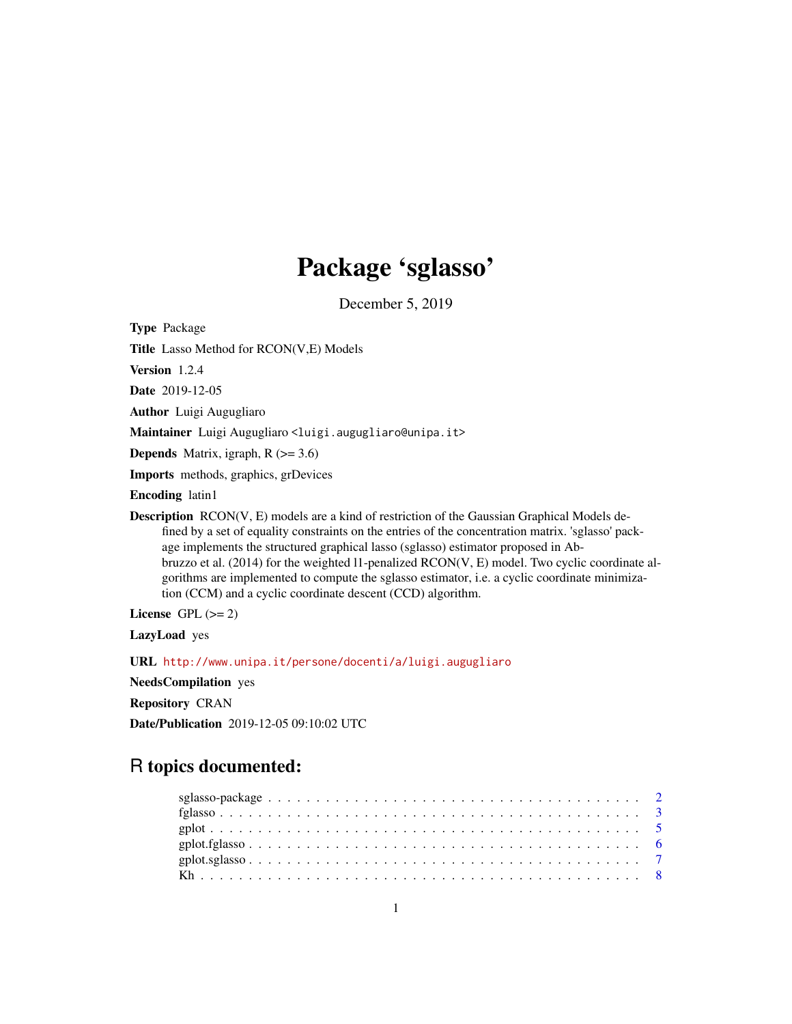## Package 'sglasso'

December 5, 2019

Type Package

Title Lasso Method for RCON(V,E) Models

Version 1.2.4

Date 2019-12-05

Author Luigi Augugliaro

Maintainer Luigi Augugliaro <luigi.augugliaro@unipa.it>

**Depends** Matrix, igraph,  $R$  ( $>= 3.6$ )

Imports methods, graphics, grDevices

Encoding latin1

**Description**  $RCON(V, E)$  models are a kind of restriction of the Gaussian Graphical Models defined by a set of equality constraints on the entries of the concentration matrix. 'sglasso' package implements the structured graphical lasso (sglasso) estimator proposed in Abbruzzo et al. (2014) for the weighted l1-penalized RCON(V, E) model. Two cyclic coordinate algorithms are implemented to compute the sglasso estimator, i.e. a cyclic coordinate minimization (CCM) and a cyclic coordinate descent (CCD) algorithm.

License GPL  $(>= 2)$ 

LazyLoad yes

URL <http://www.unipa.it/persone/docenti/a/luigi.augugliaro>

NeedsCompilation yes

Repository CRAN

Date/Publication 2019-12-05 09:10:02 UTC

## R topics documented: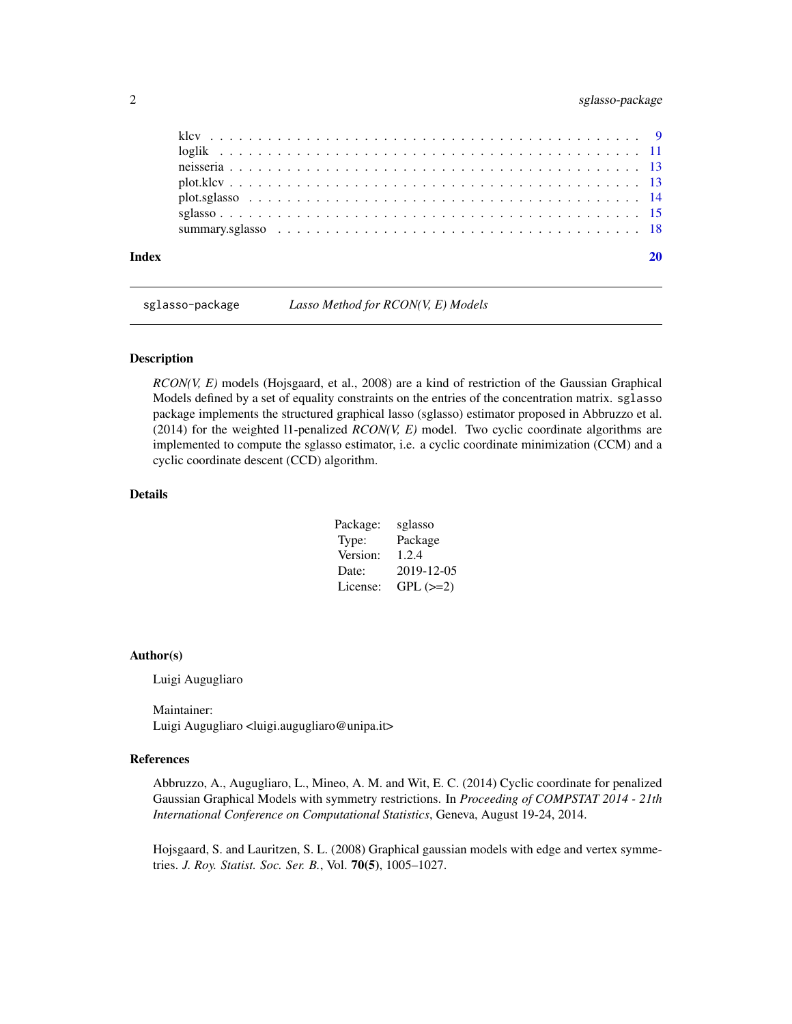## <span id="page-1-0"></span>2 sglasso-package

| Index |  |  |  |  |  |
|-------|--|--|--|--|--|
|       |  |  |  |  |  |
|       |  |  |  |  |  |
|       |  |  |  |  |  |
|       |  |  |  |  |  |
|       |  |  |  |  |  |
|       |  |  |  |  |  |

sglasso-package *Lasso Method for RCON(V, E) Models*

#### Description

*RCON(V, E)* models (Hojsgaard, et al., 2008) are a kind of restriction of the Gaussian Graphical Models defined by a set of equality constraints on the entries of the concentration matrix. sglasso package implements the structured graphical lasso (sglasso) estimator proposed in Abbruzzo et al. (2014) for the weighted 11-penalized  $RCON(V, E)$  model. Two cyclic coordinate algorithms are implemented to compute the sglasso estimator, i.e. a cyclic coordinate minimization (CCM) and a cyclic coordinate descent (CCD) algorithm.

## Details

| Package: | sglasso    |
|----------|------------|
| Type:    | Package    |
| Version: | 1.2.4      |
| Date:    | 2019-12-05 |
| License: | $GPL (=2)$ |

#### Author(s)

Luigi Augugliaro

Maintainer: Luigi Augugliaro <luigi.augugliaro@unipa.it>

#### References

Abbruzzo, A., Augugliaro, L., Mineo, A. M. and Wit, E. C. (2014) Cyclic coordinate for penalized Gaussian Graphical Models with symmetry restrictions. In *Proceeding of COMPSTAT 2014 - 21th International Conference on Computational Statistics*, Geneva, August 19-24, 2014.

Hojsgaard, S. and Lauritzen, S. L. (2008) Graphical gaussian models with edge and vertex symmetries. *J. Roy. Statist. Soc. Ser. B.*, Vol. 70(5), 1005–1027.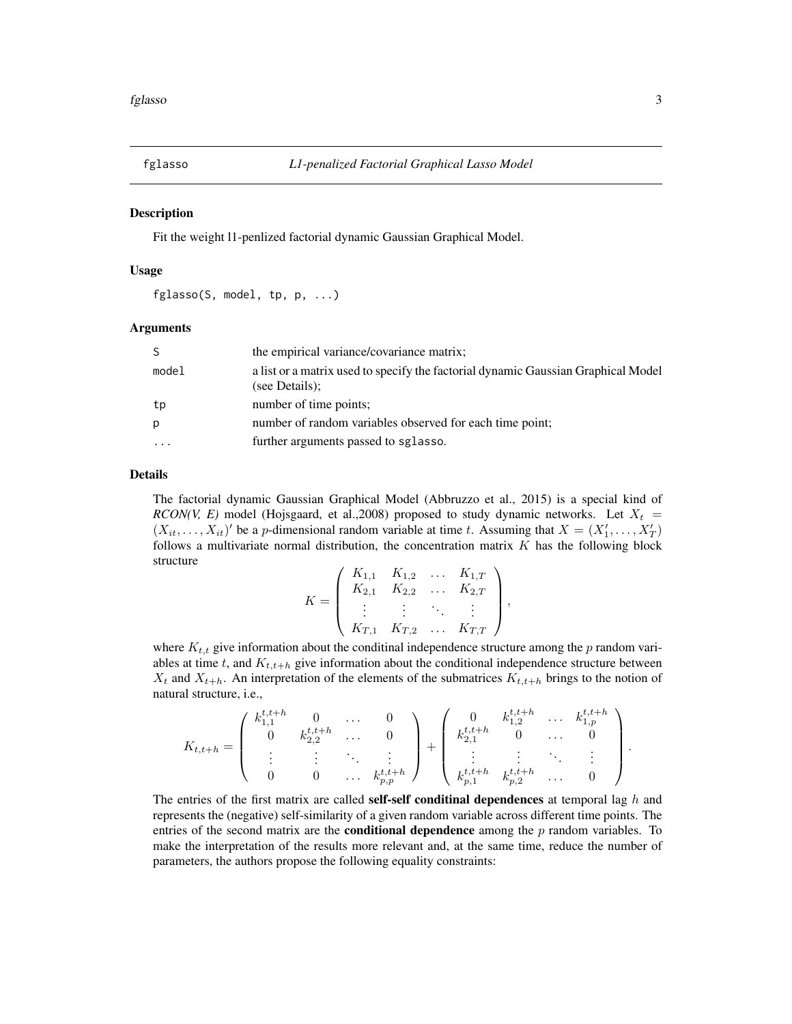<span id="page-2-1"></span><span id="page-2-0"></span>

## **Description**

Fit the weight l1-penlized factorial dynamic Gaussian Graphical Model.

## Usage

fglasso(S, model, tp, p, ...)

#### Arguments

| S         | the empirical variance/covariance matrix;                                                           |
|-----------|-----------------------------------------------------------------------------------------------------|
| model     | a list or a matrix used to specify the factorial dynamic Gaussian Graphical Model<br>(see Details); |
| tp        | number of time points;                                                                              |
| р         | number of random variables observed for each time point;                                            |
| $\ddotsc$ | further arguments passed to sglasso.                                                                |

## Details

The factorial dynamic Gaussian Graphical Model (Abbruzzo et al., 2015) is a special kind of *RCON(V, E)* model (Hojsgaard, et al.,2008) proposed to study dynamic networks. Let  $X_t$  =  $(X_{it},..., X_{it})'$  be a p-dimensional random variable at time t. Assuming that  $X = (X'_1,..., X'_T)$ follows a multivariate normal distribution, the concentration matrix  $K$  has the following block structure

$$
K = \left( \begin{array}{cccc} K_{1,1} & K_{1,2} & \dots & K_{1,T} \\ K_{2,1} & K_{2,2} & \dots & K_{2,T} \\ \vdots & \vdots & \ddots & \vdots \\ K_{T,1} & K_{T,2} & \dots & K_{T,T} \end{array} \right)
$$

,

where  $K_{t,t}$  give information about the conditinal independence structure among the p random variables at time t, and  $K_{t,t+h}$  give information about the conditional independence structure between  $X_t$  and  $X_{t+h}$ . An interpretation of the elements of the submatrices  $K_{t,t+h}$  brings to the notion of natural structure, i.e.,

$$
K_{t,t+h} = \left( \begin{array}{cccc} k_{1,1}^{t,t+h} & 0 & \dots & 0 \\ 0 & k_{2,2}^{t,t+h} & \dots & 0 \\ \vdots & \vdots & \ddots & \vdots \\ 0 & 0 & \dots & k_{p,p}^{t,t+h} \end{array} \right) + \left( \begin{array}{cccc} 0 & k_{1,2}^{t,t+h} & \dots & k_{1,p}^{t,t+h} \\ k_{2,1}^{t,t+h} & 0 & \dots & 0 \\ \vdots & \vdots & \ddots & \vdots \\ k_{p,1}^{t,t+h} & k_{p,2}^{t,t+h} & \dots & 0 \end{array} \right).
$$

The entries of the first matrix are called **self-self conditinal dependences** at temporal lag  $h$  and represents the (negative) self-similarity of a given random variable across different time points. The entries of the second matrix are the **conditional dependence** among the  $p$  random variables. To make the interpretation of the results more relevant and, at the same time, reduce the number of parameters, the authors propose the following equality constraints: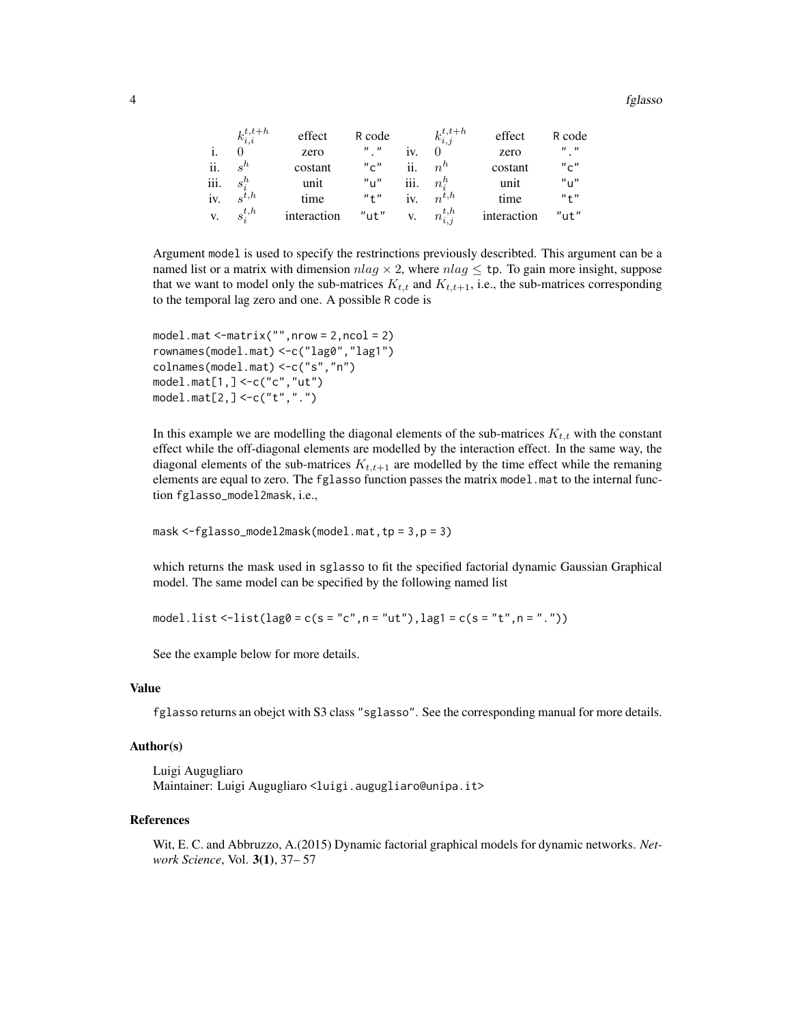4 fglasso

|                | $k_{i,i}^{t,t+h}$  | effect      | R code                            |      | $k_{i,j}^{t,t+h}$ | effect      | R code                                |
|----------------|--------------------|-------------|-----------------------------------|------|-------------------|-------------|---------------------------------------|
| $\mathbf{i}$ . |                    | zero        | $\boldsymbol{n}$ $\boldsymbol{n}$ | iv.  |                   | zero        | $^{\prime\prime}$ , $^{\prime\prime}$ |
| ii.            | $s^h$              | costant     | "c"                               | ij.  | $n^h$             | costant     | "c"                                   |
| iii.           | $s_i^h$            | unit        | $"$ u"                            | iii. | $n_i^n$           | unit        | "u"                                   |
| iv.            | $\mathbf{e}^{t,h}$ | time        | "t"                               | iv.  | $n^{t,h}$         | time        | "t"                                   |
| V.             | $s_i^{t,h}$        | interaction | $"$ ut $"$                        | V.   | $n_{i,j}^{t,h}$   | interaction | $"$ ut"                               |

Argument model is used to specify the restrinctions previously describted. This argument can be a named list or a matrix with dimension  $nlag \times 2$ , where  $nlag \leq tp$ . To gain more insight, suppose that we want to model only the sub-matrices  $K_{t,t}$  and  $K_{t,t+1}$ , i.e., the sub-matrices corresponding to the temporal lag zero and one. A possible R code is

```
model.mat <-matrix("",nrow = 2,ncol = 2)
rownames(model.mat) <-c("lag0","lag1")
colnames(model.mat) <-c("s","n")
model.mat[1,] <-c("c","ut")
model.mat[2,] <-c("t",".")
```
In this example we are modelling the diagonal elements of the sub-matrices  $K_{t,t}$  with the constant effect while the off-diagonal elements are modelled by the interaction effect. In the same way, the diagonal elements of the sub-matrices  $K_{t,t+1}$  are modelled by the time effect while the remaning elements are equal to zero. The fglasso function passes the matrix model.mat to the internal function fglasso\_model2mask, i.e.,

```
mask <-fglasso_model2mask(model.mat,tp = 3,p = 3)
```
which returns the mask used in sglasso to fit the specified factorial dynamic Gaussian Graphical model. The same model can be specified by the following named list

```
model.list <-list(lag\emptyset = c(s = "c",n = "ut"),lag1 = c(s = "t",n = "."))
```
See the example below for more details.

## Value

fglasso returns an obejct with S3 class "sglasso". See the corresponding manual for more details.

## Author(s)

```
Luigi Augugliaro
Maintainer: Luigi Augugliaro <luigi.augugliaro@unipa.it>
```
#### References

Wit, E. C. and Abbruzzo, A.(2015) Dynamic factorial graphical models for dynamic networks. *Network Science*, Vol. 3(1), 37– 57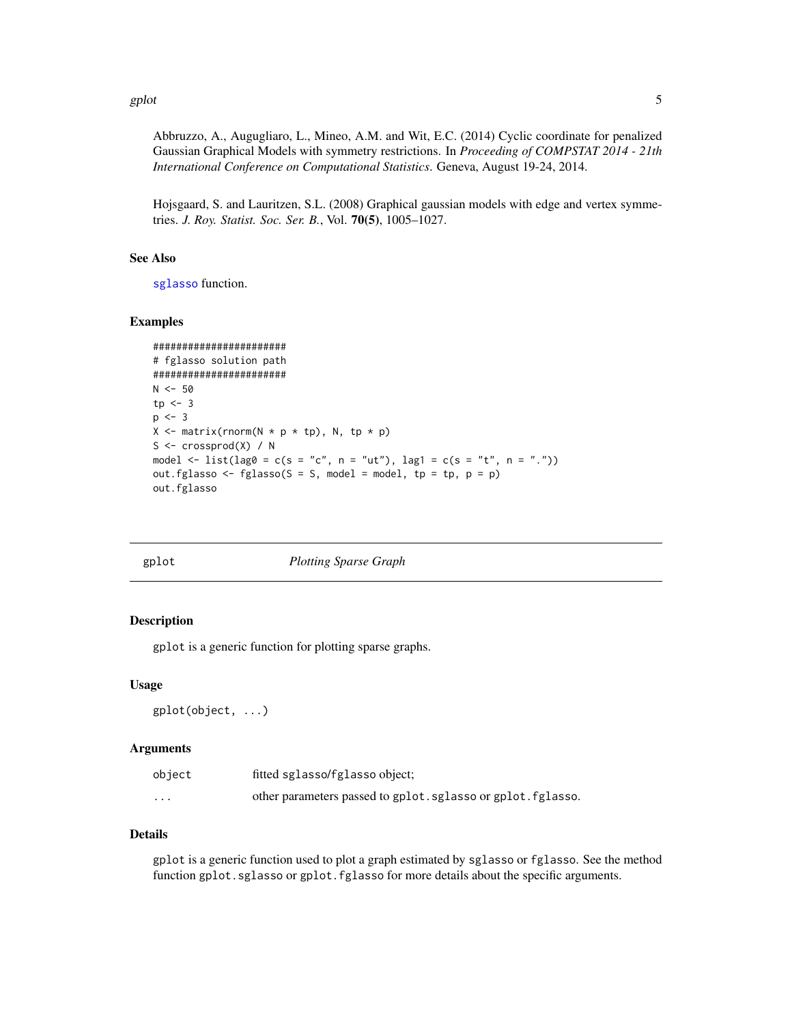#### <span id="page-4-0"></span>gplot 5

Abbruzzo, A., Augugliaro, L., Mineo, A.M. and Wit, E.C. (2014) Cyclic coordinate for penalized Gaussian Graphical Models with symmetry restrictions. In *Proceeding of COMPSTAT 2014 - 21th International Conference on Computational Statistics*. Geneva, August 19-24, 2014.

Hojsgaard, S. and Lauritzen, S.L. (2008) Graphical gaussian models with edge and vertex symmetries. *J. Roy. Statist. Soc. Ser. B.*, Vol. 70(5), 1005–1027.

## See Also

[sglasso](#page-14-1) function.

## Examples

```
#######################
# fglasso solution path
#######################
N < -50tp \leftarrow 3p \le -3X \leq - matrix(rnorm(N * p * tp), N, tp * p)
S \leftarrow crossprod(X) / Nmodel <- list(lag0 = c(s = "c", n = "ut"), lag1 = c(s = "t", n = "."))
out.fglasso <- fglasso(S = S, model = model, tp = tp, p = p)
out.fglasso
```

gplot *Plotting Sparse Graph*

#### Description

gplot is a generic function for plotting sparse graphs.

#### Usage

gplot(object, ...)

## **Arguments**

| object                  | fitted sglasso/fglasso object;                               |
|-------------------------|--------------------------------------------------------------|
| $\cdot$ $\cdot$ $\cdot$ | other parameters passed to gplot. sglasso or gplot. fglasso. |

## Details

gplot is a generic function used to plot a graph estimated by sglasso or fglasso. See the method function gplot.sglasso or gplot.fglasso for more details about the specific arguments.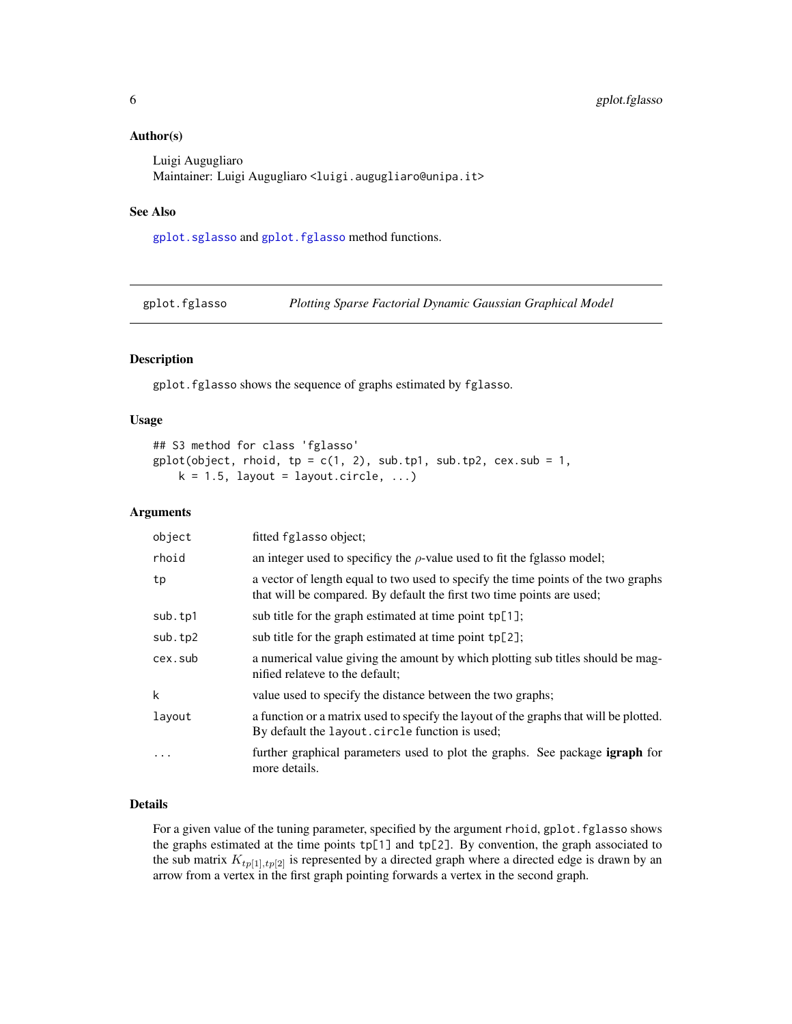## <span id="page-5-0"></span>Author(s)

Luigi Augugliaro Maintainer: Luigi Augugliaro <luigi.augugliaro@unipa.it>

## See Also

[gplot.sglasso](#page-6-1) and [gplot.fglasso](#page-5-1) method functions.

<span id="page-5-1"></span>gplot.fglasso *Plotting Sparse Factorial Dynamic Gaussian Graphical Model*

## Description

gplot.fglasso shows the sequence of graphs estimated by fglasso.

## Usage

```
## S3 method for class 'fglasso'
gplot(object, rhoid, tp = c(1, 2), sub.th1, sub(tp2, cex.sub = 1,k = 1.5, layout = layout.circle, ...)
```
## Arguments

| object  | fitted fglasso object;                                                                                                                                     |
|---------|------------------------------------------------------------------------------------------------------------------------------------------------------------|
| rhoid   | an integer used to specificy the $\rho$ -value used to fit the fglasso model;                                                                              |
| tp      | a vector of length equal to two used to specify the time points of the two graphs<br>that will be compared. By default the first two time points are used; |
| sub.tp1 | sub title for the graph estimated at time point $tp[1]$ ;                                                                                                  |
| sub.tp2 | sub title for the graph estimated at time point tp[2];                                                                                                     |
| cex.sub | a numerical value giving the amount by which plotting sub titles should be mag-<br>nified relateve to the default;                                         |
| k       | value used to specify the distance between the two graphs;                                                                                                 |
| layout  | a function or a matrix used to specify the layout of the graphs that will be plotted.<br>By default the layout.circle function is used;                    |
| .       | further graphical parameters used to plot the graphs. See package <b>igraph</b> for<br>more details.                                                       |

## Details

For a given value of the tuning parameter, specified by the argument rhoid, gplot. fglasso shows the graphs estimated at the time points tp[1] and tp[2]. By convention, the graph associated to the sub matrix  $K_{tp[1], tp[2]}$  is represented by a directed graph where a directed edge is drawn by an arrow from a vertex in the first graph pointing forwards a vertex in the second graph.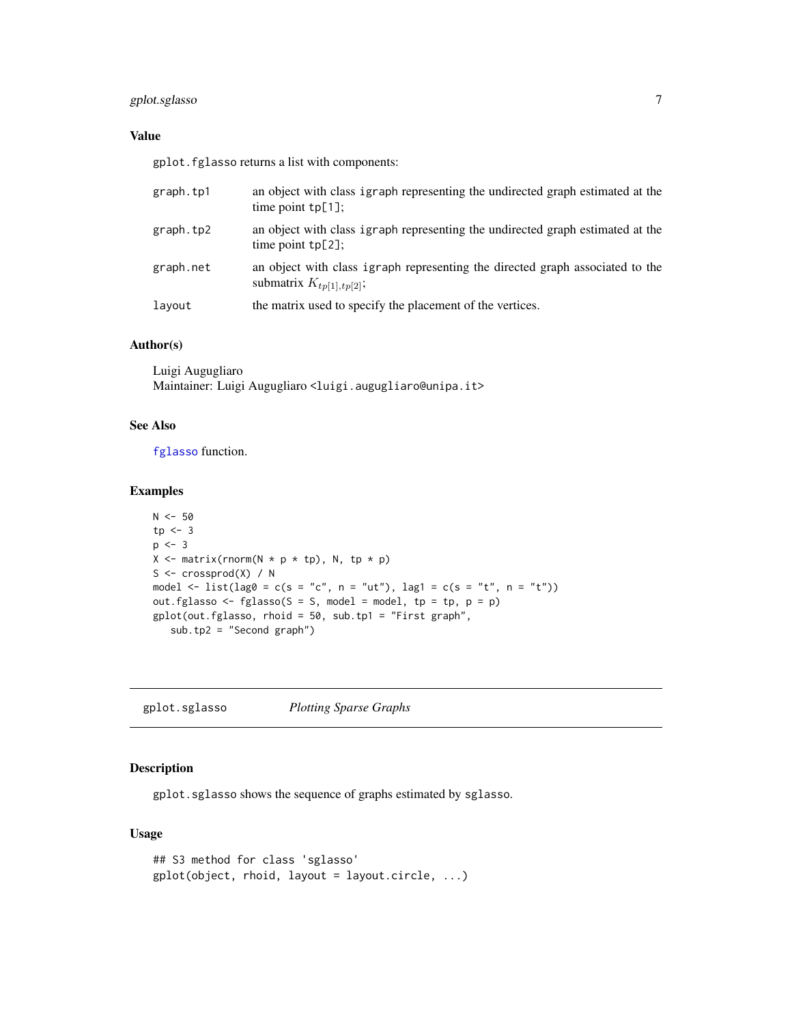## <span id="page-6-0"></span>gplot.sglasso 7

## Value

gplot.fglasso returns a list with components:

| graph.tp1 | an object with class igraph representing the undirected graph estimated at the<br>time point $tp[1]$ ;         |
|-----------|----------------------------------------------------------------------------------------------------------------|
| graph.tp2 | an object with class igraph representing the undirected graph estimated at the<br>time point $tp[2]$ ;         |
| graph.net | an object with class igraph representing the directed graph associated to the<br>submatrix $K_{tp[1], tp[2]};$ |
| layout    | the matrix used to specify the placement of the vertices.                                                      |

#### Author(s)

Luigi Augugliaro Maintainer: Luigi Augugliaro <luigi.augugliaro@unipa.it>

## See Also

[fglasso](#page-2-1) function.

## Examples

```
N < -50tp \leftarrow 3p \leftarrow 3X \leq matrix(rnorm(N * p * tp), N, tp * p)
S \leq crossprod(X) / N
model <- list(lag0 = c(s = "c", n = "ut"), lag1 = c(s = "t", n = "t"))
out.fglasso <- fglasso(S = S, model = model, tp = tp, p = p)
gplot(out.fglasso, rhoid = 50, sub.tp1 = "First graph",
   sub.tp2 = "Second graph")
```
<span id="page-6-1"></span>gplot.sglasso *Plotting Sparse Graphs*

## Description

gplot.sglasso shows the sequence of graphs estimated by sglasso.

## Usage

```
## S3 method for class 'sglasso'
gplot(object, rhoid, layout = layout.circle, ...)
```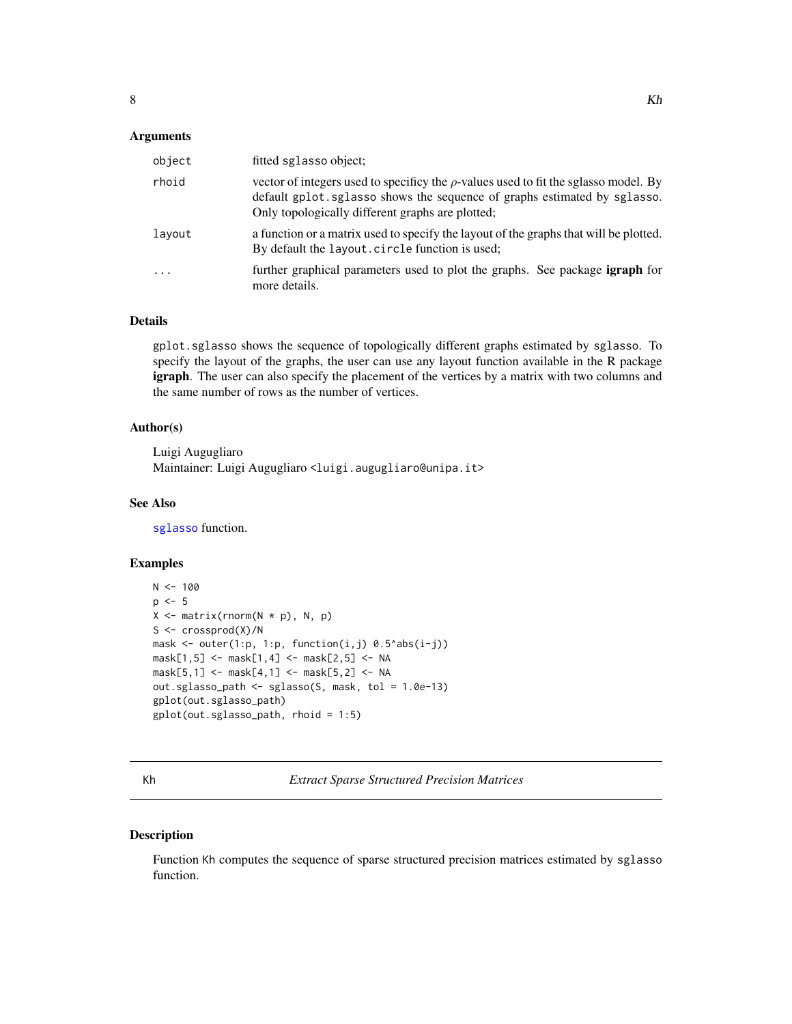## <span id="page-7-0"></span>**Arguments**

| object | fitted sglasso object;                                                                                                                                                                                                    |
|--------|---------------------------------------------------------------------------------------------------------------------------------------------------------------------------------------------------------------------------|
| rhoid  | vector of integers used to specificy the $\rho$ -values used to fit the sglasso model. By<br>default gplot.sglasso shows the sequence of graphs estimated by sglasso.<br>Only topologically different graphs are plotted; |
| layout | a function or a matrix used to specify the layout of the graphs that will be plotted.<br>By default the layout. circle function is used;                                                                                  |
| .      | further graphical parameters used to plot the graphs. See package igraph for<br>more details.                                                                                                                             |

## Details

gplot.sglasso shows the sequence of topologically different graphs estimated by sglasso. To specify the layout of the graphs, the user can use any layout function available in the R package igraph. The user can also specify the placement of the vertices by a matrix with two columns and the same number of rows as the number of vertices.

## Author(s)

Luigi Augugliaro Maintainer: Luigi Augugliaro <luigi.augugliaro@unipa.it>

## See Also

[sglasso](#page-14-1) function.

## Examples

```
N < - 100p \le -5X \leftarrow matrix(rnorm(N * p), N, p)S \leq crossprod(X)/N
mask \leq outer(1:p, 1:p, function(i,j) 0.5^abs(i-j))
mask[1, 5] <- mask[1, 4] <- mask[2, 5] <- NA
mask[5, 1] <- mask[4, 1] <- mask[5, 2] <- NA
out.sglasso_path <- sglasso(S, mask, tol = 1.0e-13)
gplot(out.sglasso_path)
gplot(out.sglasso_path, rhoid = 1:5)
```
<span id="page-7-1"></span>Kh *Extract Sparse Structured Precision Matrices*

#### Description

Function Kh computes the sequence of sparse structured precision matrices estimated by sglasso function.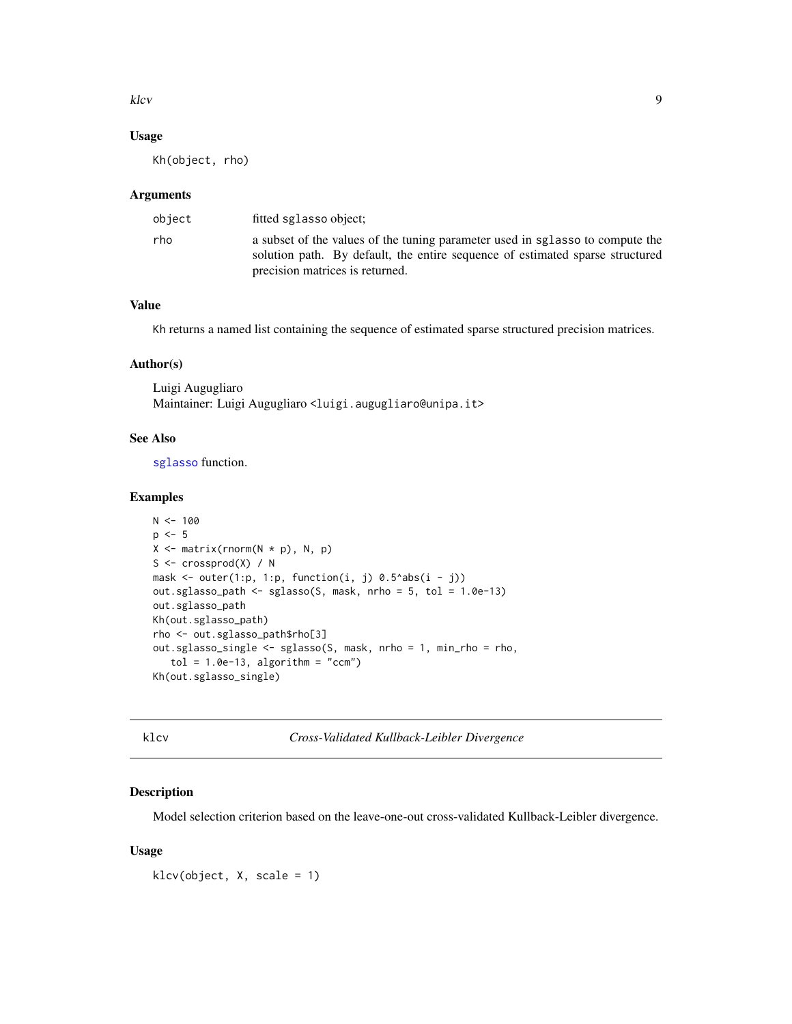<span id="page-8-0"></span>klcv 9 and 9 and 9 and 9 and 9 and 9 and 9 and 9 and 9 and 9 and 9 and 9 and 9 and 9 and 9 and 9 and 9 and 9 and 9 and 9 and 9 and 9 and 9 and 9 and 9 and 9 and 9 and 9 and 9 and 9 and 9 and 9 and 9 and 9 and 9 and 9 and 9

## Usage

Kh(object, rho)

### Arguments

| object | fitted sglasso object;                                                                                                                                                                            |
|--------|---------------------------------------------------------------------------------------------------------------------------------------------------------------------------------------------------|
| rho    | a subset of the values of the tuning parameter used in sglasso to compute the<br>solution path. By default, the entire sequence of estimated sparse structured<br>precision matrices is returned. |

## Value

Kh returns a named list containing the sequence of estimated sparse structured precision matrices.

#### Author(s)

Luigi Augugliaro Maintainer: Luigi Augugliaro <luigi.augugliaro@unipa.it>

## See Also

[sglasso](#page-14-1) function.

## Examples

```
N < - 100p \le -5X \leftarrow matrix(rnorm(N * p), N, p)S \leq crossprod(X) / N
mask \le outer(1:p, 1:p, function(i, j) 0.5^abs(i - j))
out.sglasso_path <- sglasso(S, mask, nrho = 5, tol = 1.0e-13)
out.sglasso_path
Kh(out.sglasso_path)
rho <- out.sglasso_path$rho[3]
out.sglasso_single <- sglasso(S, mask, nrho = 1, min_rho = rho,
   tol = 1.0e-13, algorithm = "ccm")
Kh(out.sglasso_single)
```
<span id="page-8-1"></span>klcv *Cross-Validated Kullback-Leibler Divergence*

#### Description

Model selection criterion based on the leave-one-out cross-validated Kullback-Leibler divergence.

## Usage

klcv(object, X, scale = 1)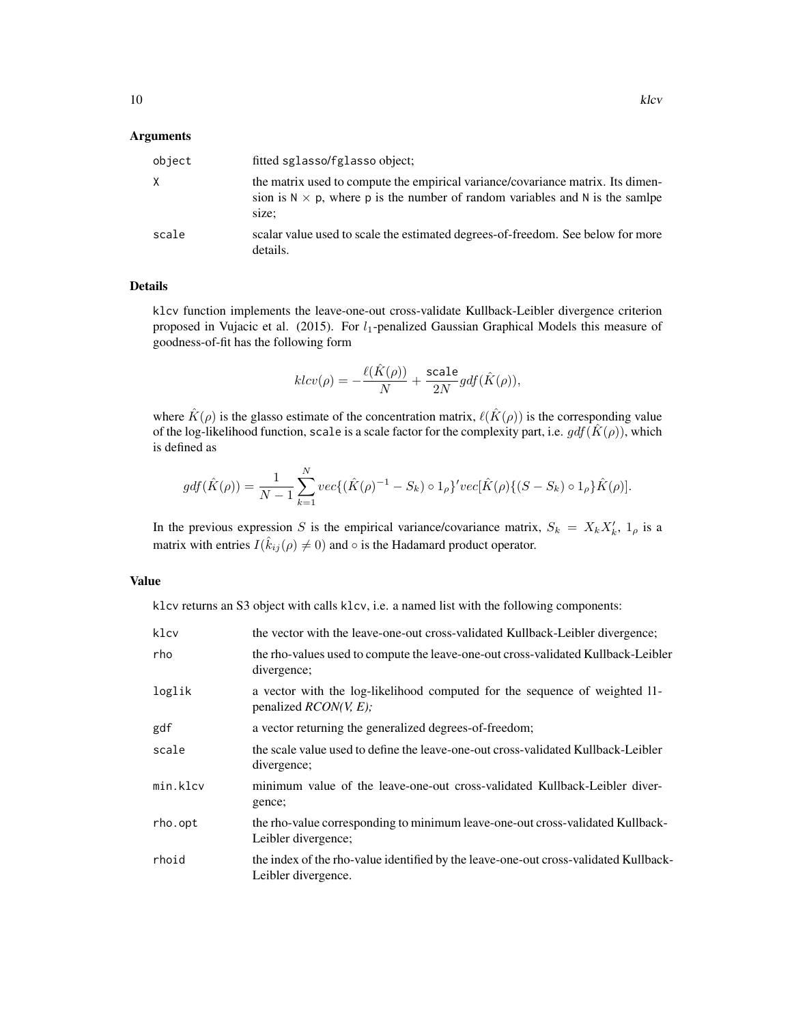#### Arguments

| object | fitted sglasso/fglasso object;                                                                                                                                                   |
|--------|----------------------------------------------------------------------------------------------------------------------------------------------------------------------------------|
| X      | the matrix used to compute the empirical variance/covariance matrix. Its dimen-<br>sion is $N \times p$ , where p is the number of random variables and N is the samily<br>size; |
| scale  | scalar value used to scale the estimated degrees-of-freedom. See below for more<br>details.                                                                                      |

## Details

klcv function implements the leave-one-out cross-validate Kullback-Leibler divergence criterion proposed in Vujacic et al. (2015). For  $l_1$ -penalized Gaussian Graphical Models this measure of goodness-of-fit has the following form

$$
klcv(\rho) = -\frac{\ell(\hat{K}(\rho))}{N} + \frac{\text{scale}}{2N}gdf(\hat{K}(\rho)),
$$

where  $\hat{K}(\rho)$  is the glasso estimate of the concentration matrix,  $\ell(\hat{K}(\rho))$  is the corresponding value of the log-likelihood function, scale is a scale factor for the complexity part, i.e.  $gdf(\hat{K}(\rho))$ , which is defined as

$$
gdf(\hat{K}(\rho)) = \frac{1}{N-1} \sum_{k=1}^{N} vec\{ (\hat{K}(\rho)^{-1} - S_k) \circ 1_{\rho} \}^{\prime} vec[\hat{K}(\rho) \{ (S - S_k) \circ 1_{\rho} \} \hat{K}(\rho)].
$$

In the previous expression S is the empirical variance/covariance matrix,  $S_k = X_k X'_k$ ,  $1_\rho$  is a matrix with entries  $I(\hat{k}_{ij}(\rho) \neq 0)$  and  $\circ$  is the Hadamard product operator.

## Value

klcv returns an S3 object with calls klcv, i.e. a named list with the following components:

| klcv     | the vector with the leave-one-out cross-validated Kullback-Leibler divergence;                              |
|----------|-------------------------------------------------------------------------------------------------------------|
| rho      | the rho-values used to compute the leave-one-out cross-validated Kullback-Leibler<br>divergence;            |
| loglik   | a vector with the log-likelihood computed for the sequence of weighted 11-<br>penalized $RCON(V, E)$ ;      |
| gdf      | a vector returning the generalized degrees-of-freedom;                                                      |
| scale    | the scale value used to define the leave-one-out cross-validated Kullback-Leibler<br>divergence;            |
| min.klcv | minimum value of the leave-one-out cross-validated Kullback-Leibler diver-<br>gence;                        |
| rho.opt  | the rho-value corresponding to minimum leave-one-out cross-validated Kullback-<br>Leibler divergence;       |
| rhoid    | the index of the rho-value identified by the leave-one-out cross-validated Kullback-<br>Leibler divergence. |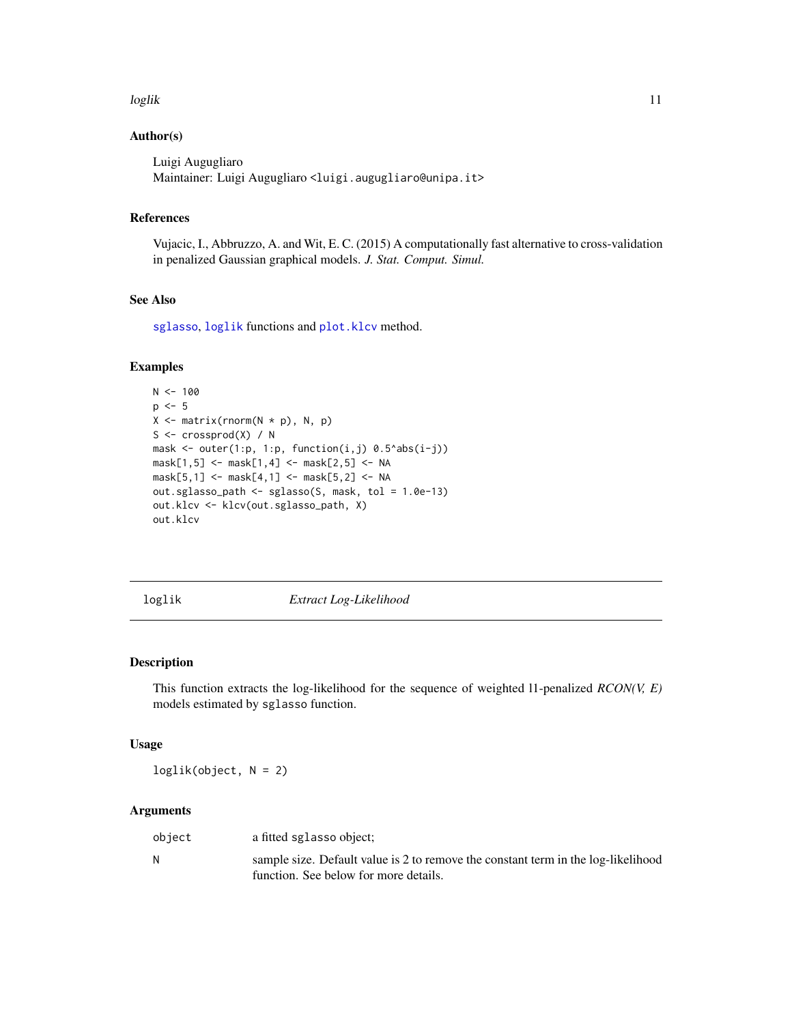#### <span id="page-10-0"></span>loglik 11

## Author(s)

Luigi Augugliaro Maintainer: Luigi Augugliaro <luigi.augugliaro@unipa.it>

#### References

Vujacic, I., Abbruzzo, A. and Wit, E. C. (2015) A computationally fast alternative to cross-validation in penalized Gaussian graphical models. *J. Stat. Comput. Simul.*

## See Also

[sglasso](#page-14-1), [loglik](#page-10-1) functions and [plot.klcv](#page-12-1) method.

## Examples

```
N < - 100p \le -5X \leftarrow matrix(rnorm(N * p), N, p)S \leftarrow \text{crossprod}(X) / Nmask \le outer(1:p, 1:p, function(i,j) 0.5^abs(i-j))
mask[1,5] <- mask[1,4] <- mask[2,5] <- NA
mask[5, 1] <- mask[4, 1] <- mask[5, 2] <- NA
out.sglasso_path <- sglasso(S, mask, tol = 1.0e-13)
out.klcv <- klcv(out.sglasso_path, X)
out.klcv
```
<span id="page-10-1"></span>

loglik *Extract Log-Likelihood*

## Description

This function extracts the log-likelihood for the sequence of weighted l1-penalized *RCON(V, E)* models estimated by sglasso function.

## Usage

loglik(object, N = 2)

## Arguments

| object | a fitted sglasso object;                                                          |
|--------|-----------------------------------------------------------------------------------|
| N      | sample size. Default value is 2 to remove the constant term in the log-likelihood |
|        | function. See below for more details.                                             |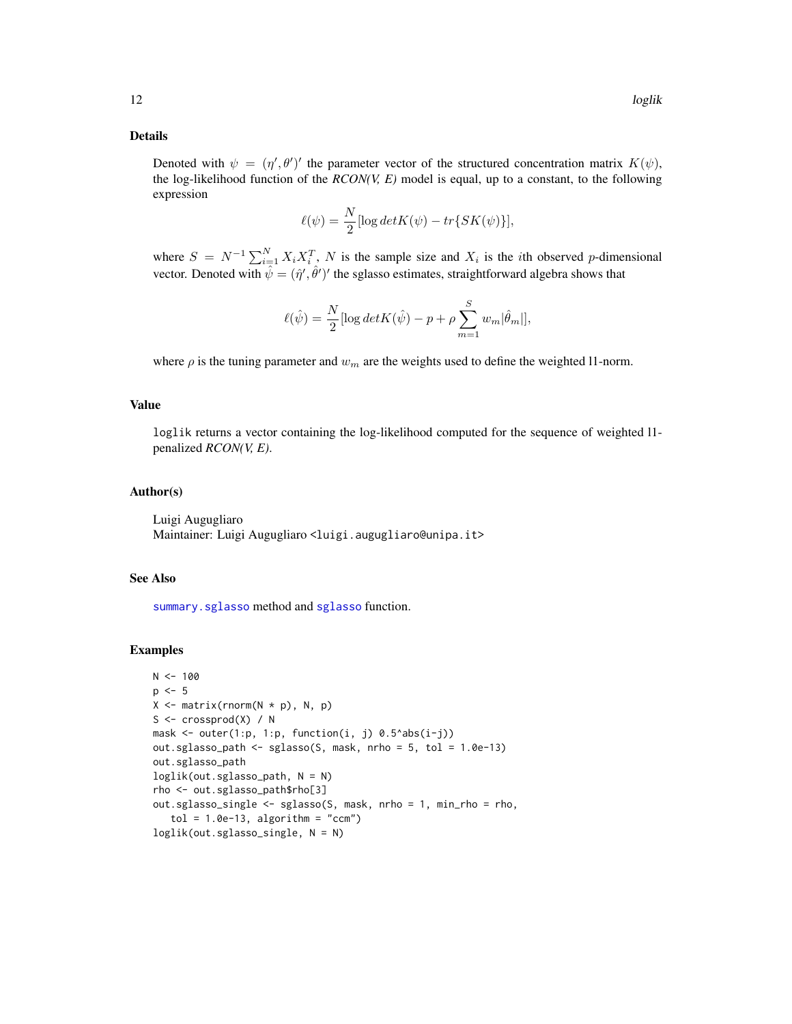#### <span id="page-11-0"></span>Details

Denoted with  $\psi = (\eta', \theta')'$  the parameter vector of the structured concentration matrix  $K(\psi)$ , the log-likelihood function of the *RCON(V, E)* model is equal, up to a constant, to the following expression

$$
\ell(\psi) = \frac{N}{2} [\log det K(\psi) - tr\{SK(\psi)\}],
$$

where  $S = N^{-1} \sum_{i=1}^{N} X_i X_i^T$ , N is the sample size and  $X_i$  is the *i*th observed p-dimensional vector. Denoted with  $\hat{\psi} = (\hat{\eta}', \hat{\theta}')'$  the sglasso estimates, straightforward algebra shows that

$$
\ell(\hat{\psi}) = \frac{N}{2} [\log det K(\hat{\psi}) - p + \rho \sum_{m=1}^{S} w_m |\hat{\theta}_m|],
$$

where  $\rho$  is the tuning parameter and  $w_m$  are the weights used to define the weighted 11-norm.

## Value

loglik returns a vector containing the log-likelihood computed for the sequence of weighted l1 penalized *RCON(V, E)*.

#### Author(s)

Luigi Augugliaro Maintainer: Luigi Augugliaro <luigi.augugliaro@unipa.it>

#### See Also

[summary.sglasso](#page-17-1) method and [sglasso](#page-14-1) function.

#### Examples

```
N < - 100p \le -5X \leftarrow matrix(rnorm(N * p), N, p)S \leq crossprod(X) / N
mask \leq outer(1:p, 1:p, function(i, j) 0.5^abs(i-j))
out.sglasso_path <- sglasso(S, mask, nrho = 5, tol = 1.0e-13)
out.sglasso_path
loglik(out.sglasso_path, N = N)
rho <- out.sglasso_path$rho[3]
out.sglasso_single <- sglasso(S, mask, nrho = 1, min_rho = rho,
   tol = 1.0e-13, algorithm = "ccm")
loglik(out.sglasso_single, N = N)
```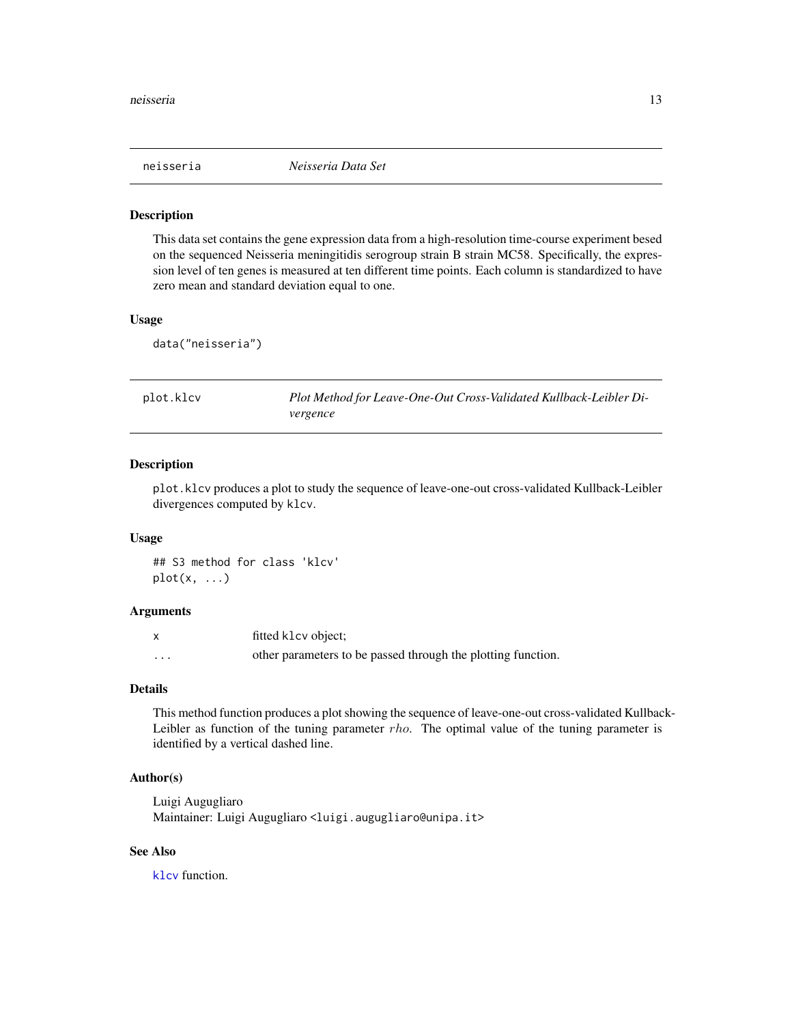<span id="page-12-0"></span>

#### Description

This data set contains the gene expression data from a high-resolution time-course experiment besed on the sequenced Neisseria meningitidis serogroup strain B strain MC58. Specifically, the expression level of ten genes is measured at ten different time points. Each column is standardized to have zero mean and standard deviation equal to one.

#### Usage

data("neisseria")

<span id="page-12-1"></span>plot.klcv *Plot Method for Leave-One-Out Cross-Validated Kullback-Leibler Divergence*

#### Description

plot.klcv produces a plot to study the sequence of leave-one-out cross-validated Kullback-Leibler divergences computed by klcv.

#### Usage

## S3 method for class 'klcv'  $plot(x, \ldots)$ 

## Arguments

|          | fitted klcv object:                                          |
|----------|--------------------------------------------------------------|
| $\cdots$ | other parameters to be passed through the plotting function. |

## Details

This method function produces a plot showing the sequence of leave-one-out cross-validated Kullback-Leibler as function of the tuning parameter  $rho$ . The optimal value of the tuning parameter is identified by a vertical dashed line.

## Author(s)

Luigi Augugliaro Maintainer: Luigi Augugliaro <luigi.augugliaro@unipa.it>

## See Also

[klcv](#page-8-1) function.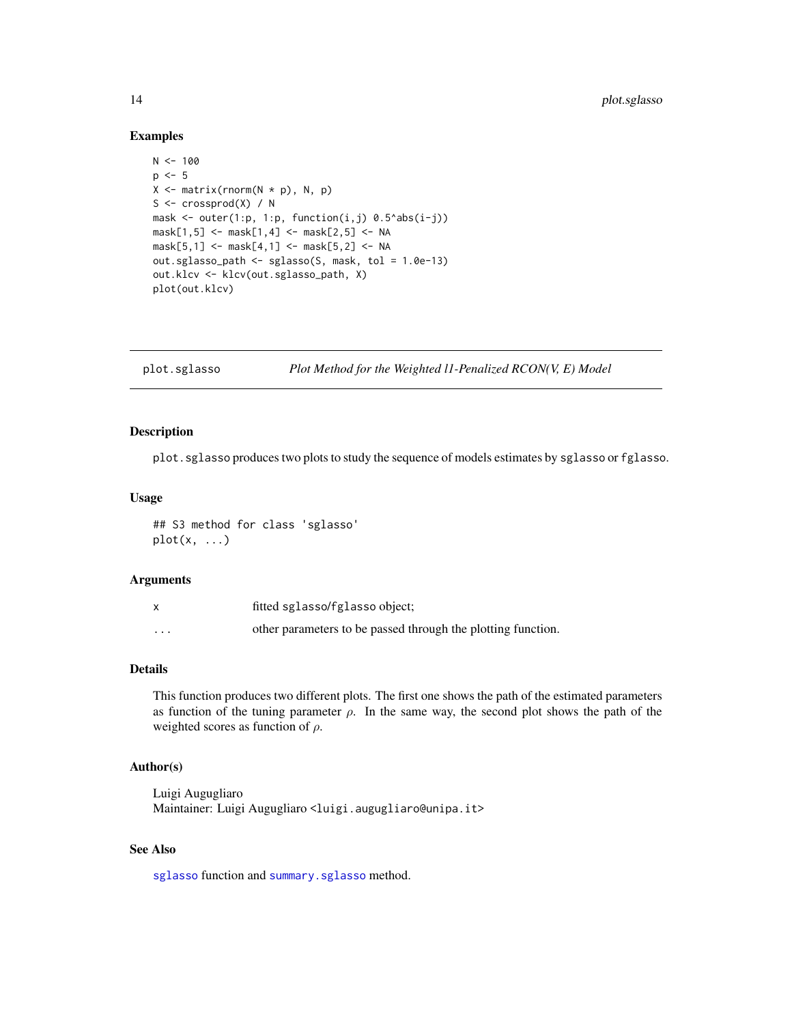#### Examples

```
N < - 100p \le -5X \leftarrow matrix(rnorm(N * p), N, p)S <- crossprod(X) / N
mask \le outer(1:p, 1:p, function(i,j) 0.5^abs(i-j))
mask[1,5] <- mask[1,4] <- mask[2,5] <- NA
mask[5, 1] <- mask[4, 1] <- mask[5, 2] <- NA
out.sglasso_path <- sglasso(S, mask, tol = 1.0e-13)
out.klcv <- klcv(out.sglasso_path, X)
plot(out.klcv)
```
<span id="page-13-1"></span>plot.sglasso *Plot Method for the Weighted l1-Penalized RCON(V, E) Model*

#### Description

plot.sglasso produces two plots to study the sequence of models estimates by sglasso or fglasso.

### Usage

## S3 method for class 'sglasso' plot(x, ...)

#### Arguments

|          | fitted sglasso/fglasso object;                               |
|----------|--------------------------------------------------------------|
| $\cdots$ | other parameters to be passed through the plotting function. |

## Details

This function produces two different plots. The first one shows the path of the estimated parameters as function of the tuning parameter  $\rho$ . In the same way, the second plot shows the path of the weighted scores as function of  $\rho$ .

## Author(s)

Luigi Augugliaro Maintainer: Luigi Augugliaro <luigi.augugliaro@unipa.it>

## See Also

[sglasso](#page-14-1) function and [summary.sglasso](#page-17-1) method.

<span id="page-13-0"></span>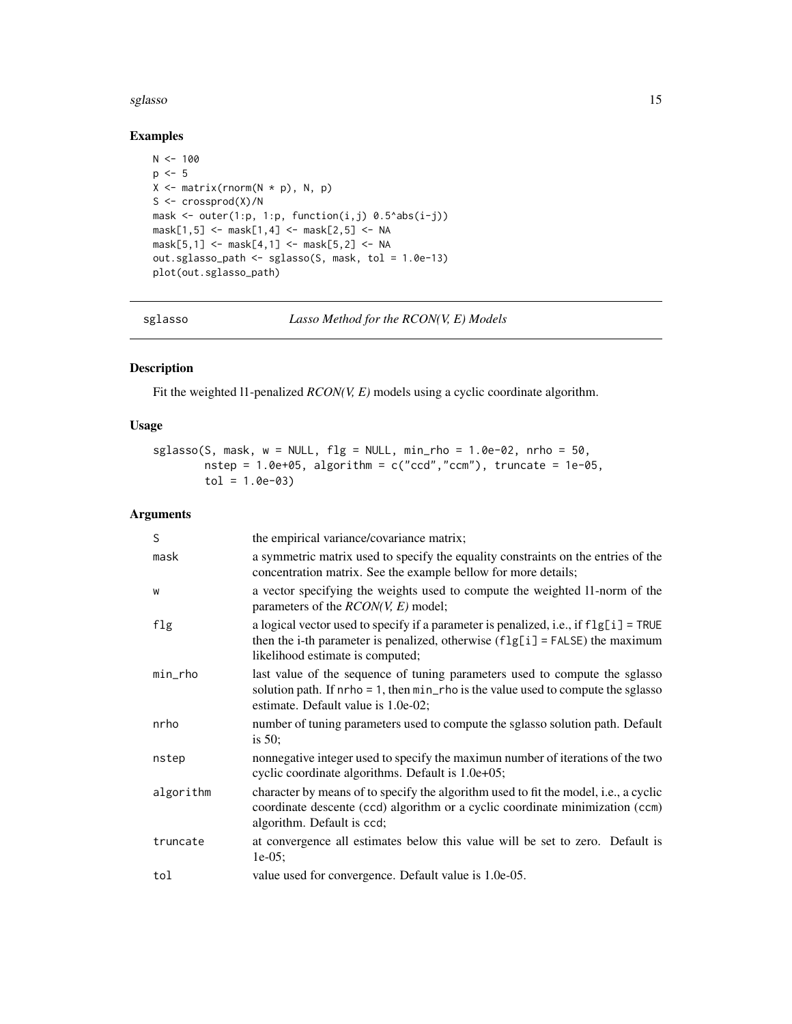#### <span id="page-14-0"></span>sglasso and the state of the state of the state of the state of the state of the state of the state of the state of the state of the state of the state of the state of the state of the state of the state of the state of th

## Examples

```
N < - 100p \le -5X \leftarrow matrix(rnorm(N * p), N, p)S \leftarrow \text{crossprod}(X)/Nmask \le outer(1:p, 1:p, function(i,j) 0.5^abs(i-j))
mask[1,5] <- mask[1,4] <- mask[2,5] <- NA
mask[5,1] <- mask[4,1] <- mask[5,2] <- NA
out.sglasso_path <- sglasso(S, mask, tol = 1.0e-13)
plot(out.sglasso_path)
```
<span id="page-14-1"></span>

sglasso *Lasso Method for the RCON(V, E) Models*

## Description

Fit the weighted l1-penalized *RCON(V, E)* models using a cyclic coordinate algorithm.

## Usage

```
sglasso(S, mask, w = NULL, fig = NULL, min_rho = 1.0e-02, nrho = 50,nstep = 1.0e+05, algorithm = c("ccd", "ccm"), truncate = 1e-05,
       tol = 1.0e-03
```
## Arguments

| S         | the empirical variance/covariance matrix;                                                                                                                                                                    |
|-----------|--------------------------------------------------------------------------------------------------------------------------------------------------------------------------------------------------------------|
| mask      | a symmetric matrix used to specify the equality constraints on the entries of the<br>concentration matrix. See the example bellow for more details;                                                          |
| W         | a vector specifying the weights used to compute the weighted 11-norm of the<br>parameters of the $RCON(V, E)$ model;                                                                                         |
| flg       | a logical vector used to specify if a parameter is penalized, i.e., if $flg[i]$ = TRUE<br>then the i-th parameter is penalized, otherwise $(flg[i] = FALSE)$ the maximum<br>likelihood estimate is computed; |
| min_rho   | last value of the sequence of tuning parameters used to compute the sglasso<br>solution path. If $nrho = 1$ , then $min_rho$ is the value used to compute the sglasso<br>estimate. Default value is 1.0e-02; |
| nrho      | number of tuning parameters used to compute the sglasso solution path. Default<br>is $50$ ;                                                                                                                  |
| nstep     | nonnegative integer used to specify the maximun number of iterations of the two<br>cyclic coordinate algorithms. Default is 1.0e+05;                                                                         |
| algorithm | character by means of to specify the algorithm used to fit the model, i.e., a cyclic<br>coordinate descente (ccd) algorithm or a cyclic coordinate minimization (ccm)<br>algorithm. Default is ccd;          |
| truncate  | at convergence all estimates below this value will be set to zero. Default is<br>$1e-05;$                                                                                                                    |
| tol       | value used for convergence. Default value is 1.0e-05.                                                                                                                                                        |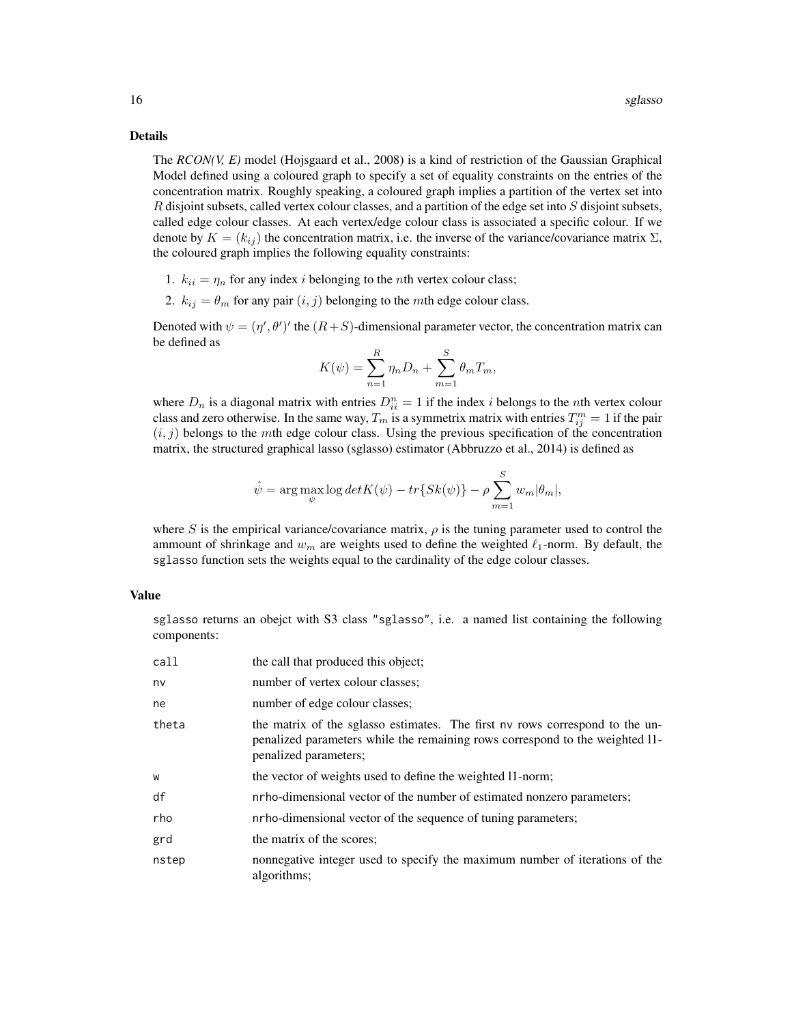#### Details

The *RCON(V, E)* model (Hojsgaard et al., 2008) is a kind of restriction of the Gaussian Graphical Model defined using a coloured graph to specify a set of equality constraints on the entries of the concentration matrix. Roughly speaking, a coloured graph implies a partition of the vertex set into  $R$  disjoint subsets, called vertex colour classes, and a partition of the edge set into  $S$  disjoint subsets, called edge colour classes. At each vertex/edge colour class is associated a specific colour. If we denote by  $K = (k_{ij})$  the concentration matrix, i.e. the inverse of the variance/covariance matrix  $\Sigma$ , the coloured graph implies the following equality constraints:

- 1.  $k_{ii} = \eta_n$  for any index *i* belonging to the *n*th vertex colour class;
- 2.  $k_{ij} = \theta_m$  for any pair  $(i, j)$  belonging to the *m*th edge colour class.

Denoted with  $\psi = (\eta', \theta')'$  the  $(R+S)$ -dimensional parameter vector, the concentration matrix can be defined as

$$
K(\psi) = \sum_{n=1}^{R} \eta_n D_n + \sum_{m=1}^{S} \theta_m T_m,
$$

where  $D_n$  is a diagonal matrix with entries  $D_{ii}^n = 1$  if the index i belongs to the nth vertex colour class and zero otherwise. In the same way,  $T_m$  is a symmetrix matrix with entries  $T_{ij}^m = 1$  if the pair  $(i, j)$  belongs to the mth edge colour class. Using the previous specification of the concentration matrix, the structured graphical lasso (sglasso) estimator (Abbruzzo et al., 2014) is defined as

$$
\hat{\psi} = \arg \max_{\psi} \log detK(\psi) - tr\{Sk(\psi)\} - \rho \sum_{m=1}^{S} w_m |\theta_m|,
$$

where S is the empirical variance/covariance matrix,  $\rho$  is the tuning parameter used to control the ammount of shrinkage and  $w_m$  are weights used to define the weighted  $\ell_1$ -norm. By default, the sglasso function sets the weights equal to the cardinality of the edge colour classes.

## Value

sglasso returns an obejct with S3 class "sglasso", i.e. a named list containing the following components:

| call  | the call that produced this object;                                                                                                                                                   |
|-------|---------------------------------------------------------------------------------------------------------------------------------------------------------------------------------------|
| nv    | number of vertex colour classes;                                                                                                                                                      |
| ne    | number of edge colour classes;                                                                                                                                                        |
| theta | the matrix of the sglasso estimates. The first nv rows correspond to the un-<br>penalized parameters while the remaining rows correspond to the weighted 11-<br>penalized parameters; |
| W     | the vector of weights used to define the weighted 11-norm;                                                                                                                            |
| df    | nrho-dimensional vector of the number of estimated nonzero parameters;                                                                                                                |
| rho   | nrho-dimensional vector of the sequence of tuning parameters;                                                                                                                         |
| grd   | the matrix of the scores;                                                                                                                                                             |
| nstep | nonnegative integer used to specify the maximum number of iterations of the<br>algorithms;                                                                                            |
|       |                                                                                                                                                                                       |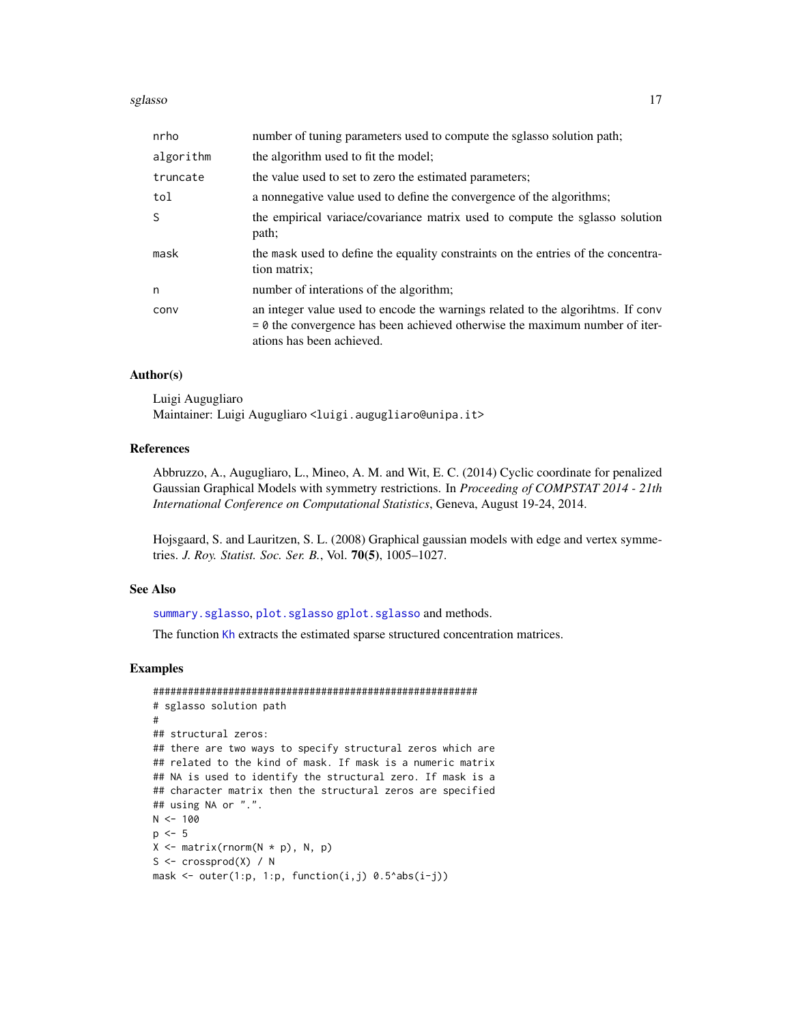#### <span id="page-16-0"></span>sglasso and the state of the state of the state of the state of the state of the state of the state of the state of the state of the state of the state of the state of the state of the state of the state of the state of th

| nrho      | number of tuning parameters used to compute the sglasso solution path;                                                                                                                        |
|-----------|-----------------------------------------------------------------------------------------------------------------------------------------------------------------------------------------------|
| algorithm | the algorithm used to fit the model;                                                                                                                                                          |
| truncate  | the value used to set to zero the estimated parameters;                                                                                                                                       |
| tol       | a nonnegative value used to define the convergence of the algorithms;                                                                                                                         |
| S         | the empirical variace/covariance matrix used to compute the sglasso solution<br>path;                                                                                                         |
| mask      | the mask used to define the equality constraints on the entries of the concentra-<br>tion matrix;                                                                                             |
| n         | number of interations of the algorithm;                                                                                                                                                       |
| conv      | an integer value used to encode the warnings related to the algorithms. If conv<br>$= 0$ the convergence has been achieved otherwise the maximum number of iter-<br>ations has been achieved. |

## Author(s)

Luigi Augugliaro Maintainer: Luigi Augugliaro <luigi.augugliaro@unipa.it>

## References

Abbruzzo, A., Augugliaro, L., Mineo, A. M. and Wit, E. C. (2014) Cyclic coordinate for penalized Gaussian Graphical Models with symmetry restrictions. In *Proceeding of COMPSTAT 2014 - 21th International Conference on Computational Statistics*, Geneva, August 19-24, 2014.

Hojsgaard, S. and Lauritzen, S. L. (2008) Graphical gaussian models with edge and vertex symmetries. *J. Roy. Statist. Soc. Ser. B.*, Vol. 70(5), 1005–1027.

#### See Also

[summary.sglasso](#page-17-1), [plot.sglasso](#page-13-1) [gplot.sglasso](#page-6-1) and methods.

The function [Kh](#page-7-1) extracts the estimated sparse structured concentration matrices.

## Examples

```
########################################################
# sglasso solution path
#
## structural zeros:
## there are two ways to specify structural zeros which are
## related to the kind of mask. If mask is a numeric matrix
## NA is used to identify the structural zero. If mask is a
## character matrix then the structural zeros are specified
## using NA or ".".
N < - 100p \le -5X \leftarrow matrix(rnorm(N * p), N, p)S \leq crossprod(X) / N
mask \le outer(1:p, 1:p, function(i,j) 0.5^abs(i-j))
```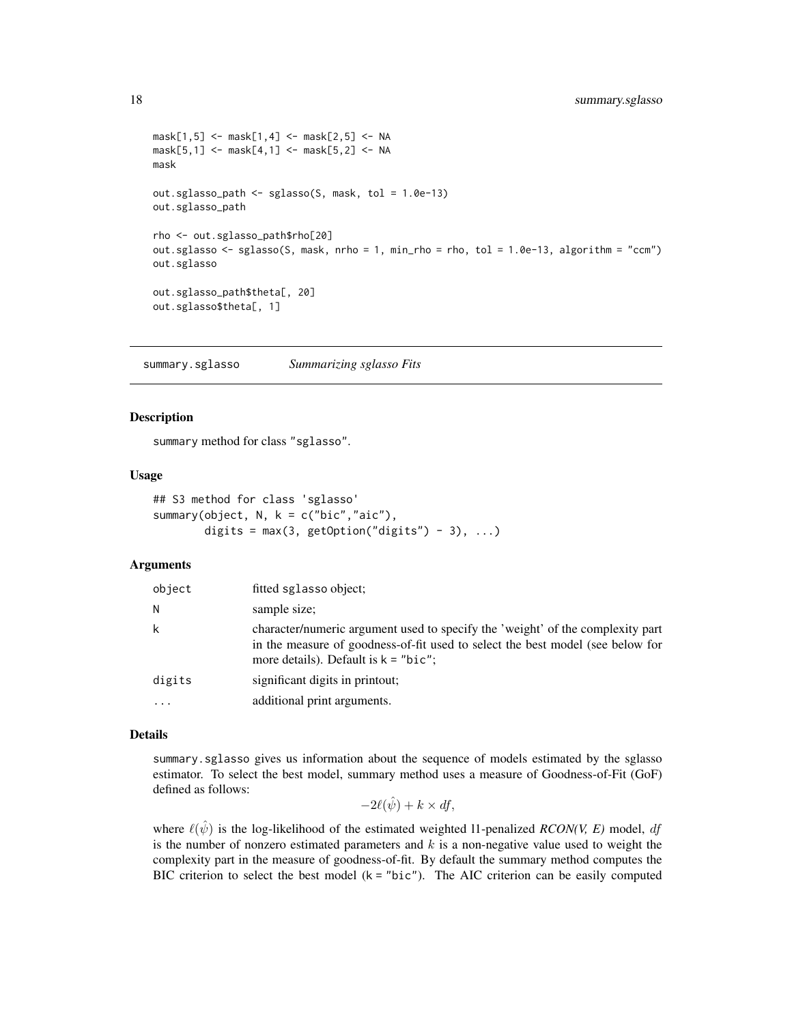```
mask[1,5] <- mask[1,4] <- mask[2,5] <- NA
mask[5,1] <- mask[4,1] <- mask[5,2] <- NA
mask
out.sglasso_path <- sglasso(S, mask, tol = 1.0e-13)
out.sglasso_path
rho <- out.sglasso_path$rho[20]
out.sglasso \le sglasso(S, mask, nrho = 1, min_rho = rho, tol = 1.0e-13, algorithm = "ccm")
out.sglasso
out.sglasso_path$theta[, 20]
out.sglasso$theta[, 1]
```
<span id="page-17-1"></span>summary.sglasso *Summarizing sglasso Fits*

#### Description

summary method for class "sglasso".

#### Usage

```
## S3 method for class 'sglasso'
summary(object, N, k = c("bic", "aic"),digits = max(3, getOption("digits") - 3), ...
```
## **Arguments**

| object   | fitted sglasso object;                                                                                                                                                                                     |
|----------|------------------------------------------------------------------------------------------------------------------------------------------------------------------------------------------------------------|
| N        | sample size;                                                                                                                                                                                               |
| k        | character/numeric argument used to specify the 'weight' of the complexity part<br>in the measure of goodness-of-fit used to select the best model (see below for<br>more details). Default is $k = "bic";$ |
| digits   | significant digits in printout;                                                                                                                                                                            |
| $\cdots$ | additional print arguments.                                                                                                                                                                                |

## Details

summary.sglasso gives us information about the sequence of models estimated by the sglasso estimator. To select the best model, summary method uses a measure of Goodness-of-Fit (GoF) defined as follows:

$$
-2\ell(\hat{\psi}) + k \times df,
$$

where  $\ell(\hat{\psi})$  is the log-likelihood of the estimated weighted 11-penalized *RCON(V, E)* model, df is the number of nonzero estimated parameters and  $k$  is a non-negative value used to weight the complexity part in the measure of goodness-of-fit. By default the summary method computes the BIC criterion to select the best model  $(k = "bic")$ . The AIC criterion can be easily computed

<span id="page-17-0"></span>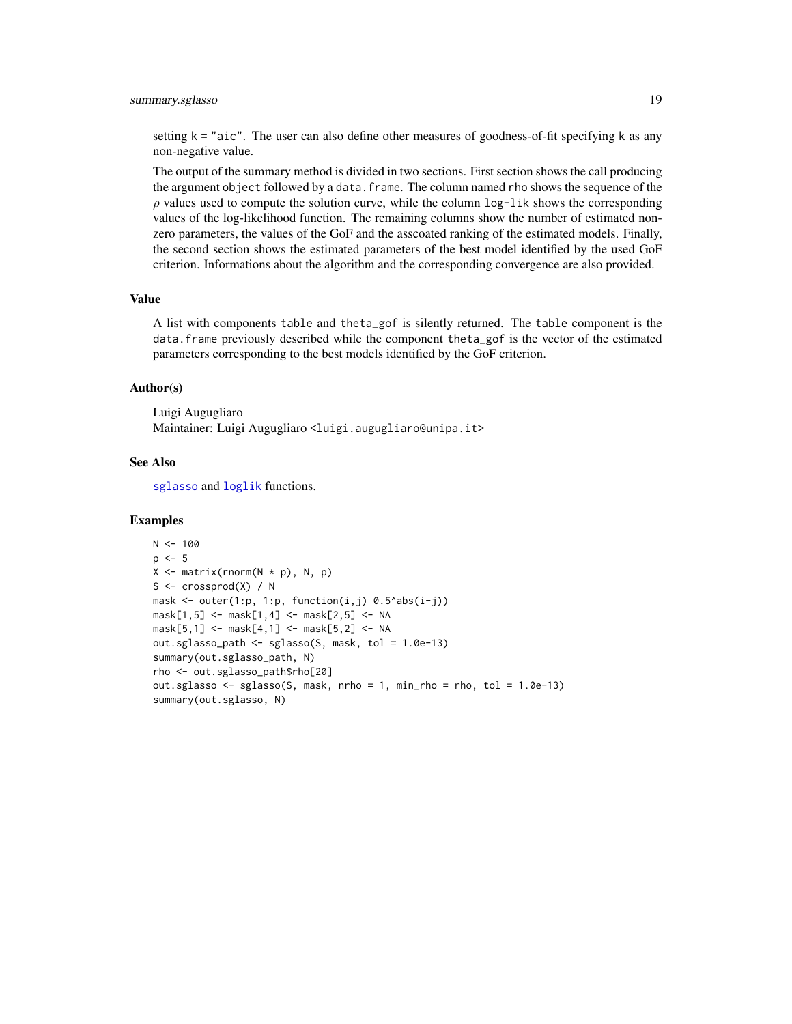## <span id="page-18-0"></span>summary.sglasso 19

setting  $k =$  "aic". The user can also define other measures of goodness-of-fit specifying k as any non-negative value.

The output of the summary method is divided in two sections. First section shows the call producing the argument object followed by a data.frame. The column named rho shows the sequence of the  $\rho$  values used to compute the solution curve, while the column  $log-1$  ik shows the corresponding values of the log-likelihood function. The remaining columns show the number of estimated nonzero parameters, the values of the GoF and the asscoated ranking of the estimated models. Finally, the second section shows the estimated parameters of the best model identified by the used GoF criterion. Informations about the algorithm and the corresponding convergence are also provided.

## Value

A list with components table and theta\_gof is silently returned. The table component is the data. frame previously described while the component theta\_gof is the vector of the estimated parameters corresponding to the best models identified by the GoF criterion.

#### Author(s)

Luigi Augugliaro Maintainer: Luigi Augugliaro <luigi.augugliaro@unipa.it>

## See Also

[sglasso](#page-14-1) and [loglik](#page-10-1) functions.

#### Examples

```
N < -100p \le -5X \leftarrow matrix(rnorm(N * p), N, p)S \leq crossprod(X) / N
mask \leq outer(1:p, 1:p, function(i,j) 0.5^abs(i-j))
mask[1,5] <- mask[1,4] <- mask[2,5] <- NA
mask[5,1] <- mask[4,1] <- mask[5,2] <- NA
out.sglasso_path <- sglasso(S, mask, tol = 1.0e-13)
summary(out.sglasso_path, N)
rho <- out.sglasso_path$rho[20]
out.sglasso <- sglasso(S, mask, nrho = 1, min_rho = rho, tol = 1.0e-13)
summary(out.sglasso, N)
```